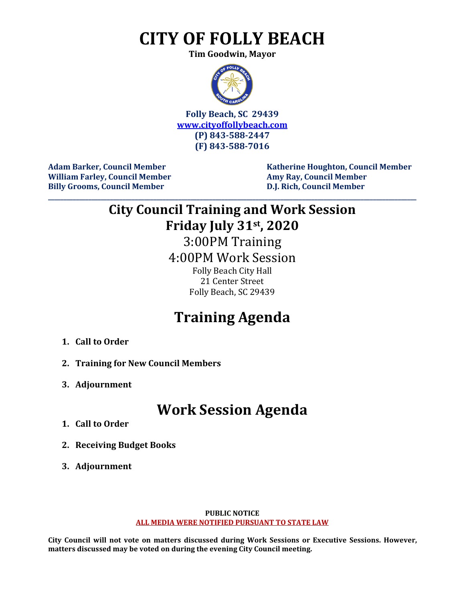# **CITY OF FOLLY BEACH**

**Tim Goodwin, Mayor**



**Folly Beach, SC 29439 [www.cityoffollybeach.com](http://www.cityoffollybeach.com/) (P) 843-588-2447 (F) 843-588-7016**

**William Farley, Council Member Amy Ray, Council Member Billy Grooms, Council Member D.J. Rich, Council Member**

Adam Barker, Council Member Katherine Houghton, Council Member

# **City Council Training and Work Session Friday July 31st, 2020**

**\_\_\_\_\_\_\_\_\_\_\_\_\_\_\_\_\_\_\_\_\_\_\_\_\_\_\_\_\_\_\_\_\_\_\_\_\_\_\_\_\_\_\_\_\_\_\_\_\_\_\_\_\_\_\_\_\_\_\_\_\_\_\_\_\_\_\_\_\_\_\_\_\_\_\_\_\_\_\_\_\_\_\_\_\_\_\_\_\_\_\_\_\_\_\_\_\_\_\_\_\_\_\_\_\_\_\_\_\_\_\_\_\_\_\_\_\_\_\_**

3:00PM Training 4:00PM Work Session

> Folly Beach City Hall 21 Center Street Folly Beach, SC 29439

## **Training Agenda**

- **1. Call to Order**
- **2. Training for New Council Members**
- **3. Adjournment**

### **Work Session Agenda**

- **1. Call to Order**
- **2. Receiving Budget Books**
- **3. Adjournment**

#### **PUBLIC NOTICE ALL MEDIA WERE NOTIFIED PURSUANT TO STATE LAW**

**City Council will not vote on matters discussed during Work Sessions or Executive Sessions. However, matters discussed may be voted on during the evening City Council meeting.**